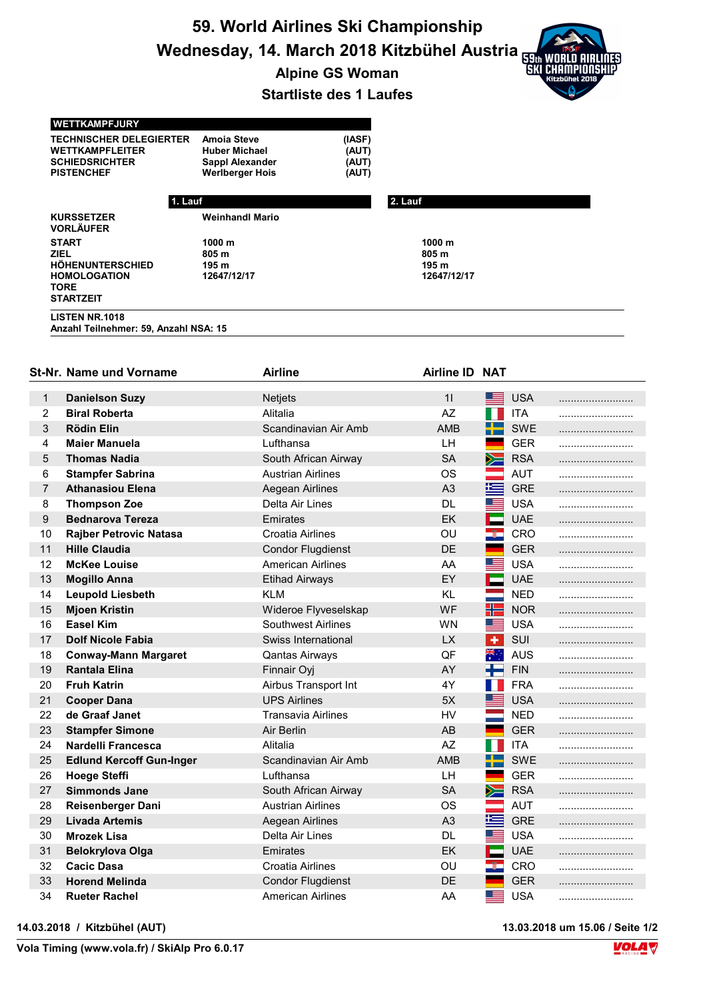59. World Airlines Ski Championship Wednesday, 14. March 2018 Kitzbühel Austria

Alpine GS Woman

## Startliste des 1 Laufes

## WETTKAMPFJURY

TECHNISCHER DELEGIERTER Amoia Steve (IASF)<br>
WETTKAMPFLEITER Huber Michael (AUT) SCHIEDSRICHTER Sappl Alexander (AUT)

WETTKAMPFLEITER Huber Michael (AUT)<br>SCHIEDSRICHTER Sappl Alexander (AUT) Werlberger Hois

|                                                                                                           | 1. Lauf                                            | 2. Lauf                                                       |  |  |  |  |
|-----------------------------------------------------------------------------------------------------------|----------------------------------------------------|---------------------------------------------------------------|--|--|--|--|
| <b>KURSSETZER</b><br><b>VORLÄUFER</b>                                                                     | <b>Weinhandl Mario</b>                             |                                                               |  |  |  |  |
| <b>START</b><br><b>ZIEL</b><br>HÖHENUNTERSCHIED<br><b>HOMOLOGATION</b><br><b>TORE</b><br><b>STARTZEIT</b> | 1000 <sub>m</sub><br>805 m<br>195 m<br>12647/12/17 | 1000 <sub>m</sub><br>805 m<br>195 <sub>m</sub><br>12647/12/17 |  |  |  |  |
| <b>LISTEN NR.1018</b><br>Anzahl Teilnehmer: 59, Anzahl NSA: 15                                            |                                                    |                                                               |  |  |  |  |

|                | St-Nr. Name und Vorname         | <b>Airline</b>            | Airline ID NAT |                          |            |  |
|----------------|---------------------------------|---------------------------|----------------|--------------------------|------------|--|
| 1              | <b>Danielson Suzy</b>           | <b>Netjets</b>            | 11             | ▀▀                       | <b>USA</b> |  |
| $\overline{2}$ | <b>Biral Roberta</b>            | Alitalia                  | <b>AZ</b>      |                          | <b>ITA</b> |  |
| $\mathfrak{S}$ | <b>Rödin Elin</b>               | Scandinavian Air Amb      | <b>AMB</b>     |                          | SWE        |  |
| 4              | <b>Maier Manuela</b>            | Lufthansa                 | LН             |                          | <b>GER</b> |  |
| 5              | <b>Thomas Nadia</b>             | South African Airway      | <b>SA</b>      | $\geq$                   | <b>RSA</b> |  |
| 6              | <b>Stampfer Sabrina</b>         | <b>Austrian Airlines</b>  | <b>OS</b>      | $\overline{\phantom{a}}$ | <b>AUT</b> |  |
| 7              | <b>Athanasiou Elena</b>         | Aegean Airlines           | A <sub>3</sub> | 军                        | <b>GRE</b> |  |
| 8              | <b>Thompson Zoe</b>             | Delta Air Lines           | DL.            | █                        | <b>USA</b> |  |
| 9              | <b>Bednarova Tereza</b>         | Emirates                  | <b>EK</b>      | ⊏                        | <b>UAE</b> |  |
| 10             | <b>Rajber Petrovic Natasa</b>   | Croatia Airlines          | OU             | -Ø.                      | CRO        |  |
| 11             | <b>Hille Claudia</b>            | <b>Condor Flugdienst</b>  | DE             |                          | <b>GER</b> |  |
| 12             | <b>McKee Louise</b>             | <b>American Airlines</b>  | AA             | ▀                        | <b>USA</b> |  |
| 13             | <b>Mogillo Anna</b>             | <b>Etihad Airways</b>     | EY             | ш                        | <b>UAE</b> |  |
| 14             | <b>Leupold Liesbeth</b>         | <b>KLM</b>                | <b>KL</b>      |                          | <b>NED</b> |  |
| 15             | <b>Mjoen Kristin</b>            | Wideroe Flyveselskap      | WF             | H                        | <b>NOR</b> |  |
| 16             | <b>Easel Kim</b>                | <b>Southwest Airlines</b> | <b>WN</b>      | ▀                        | <b>USA</b> |  |
| 17             | <b>Dolf Nicole Fabia</b>        | Swiss International       | <b>LX</b>      | $\ddot{\bullet}$         | SUI        |  |
| 18             | <b>Conway-Mann Margaret</b>     | <b>Qantas Airways</b>     | QF             | ्रेलू<br>भू              | <b>AUS</b> |  |
| 19             | <b>Rantala Elina</b>            | Finnair Oyj               | AY             |                          | <b>FIN</b> |  |
| 20             | <b>Fruh Katrin</b>              | Airbus Transport Int      | 4Y             |                          | <b>FRA</b> |  |
| 21             | <b>Cooper Dana</b>              | <b>UPS Airlines</b>       | 5X             | ▀▀                       | <b>USA</b> |  |
| 22             | de Graaf Janet                  | <b>Transavia Airlines</b> | HV             |                          | <b>NED</b> |  |
| 23             | <b>Stampfer Simone</b>          | Air Berlin                | AB             |                          | <b>GER</b> |  |
| 24             | Nardelli Francesca              | Alitalia                  | AZ             | Ш                        | <b>ITA</b> |  |
| 25             | <b>Edlund Kercoff Gun-Inger</b> | Scandinavian Air Amb      | <b>AMB</b>     |                          | <b>SWE</b> |  |
| 26             | <b>Hoege Steffi</b>             | Lufthansa                 | LH             |                          | <b>GER</b> |  |
| 27             | <b>Simmonds Jane</b>            | South African Airway      | <b>SA</b>      | ➣                        | <b>RSA</b> |  |
| 28             | Reisenberger Dani               | Austrian Airlines         | OS             |                          | AUT        |  |
| 29             | <b>Livada Artemis</b>           | Aegean Airlines           | A <sub>3</sub> | 医                        | <b>GRE</b> |  |
| 30             | <b>Mrozek Lisa</b>              | Delta Air Lines           | <b>DL</b>      | <u> in de la p</u>       | <b>USA</b> |  |
| 31             | <b>Belokrylova Olga</b>         | <b>Emirates</b>           | EK             | ⊏                        | <b>UAE</b> |  |
| 32             | <b>Cacic Dasa</b>               | <b>Croatia Airlines</b>   | OU             | nija.                    | <b>CRO</b> |  |
| 33             | <b>Horend Melinda</b>           | <b>Condor Flugdienst</b>  | <b>DE</b>      |                          | <b>GER</b> |  |
| 34             | <b>Rueter Rachel</b>            | <b>American Airlines</b>  | AA             | ▓▆▆                      | <b>USA</b> |  |

14.03.2018 / Kitzbühel (AUT) 13.03.2018 um 15.06 / Seite 1/2